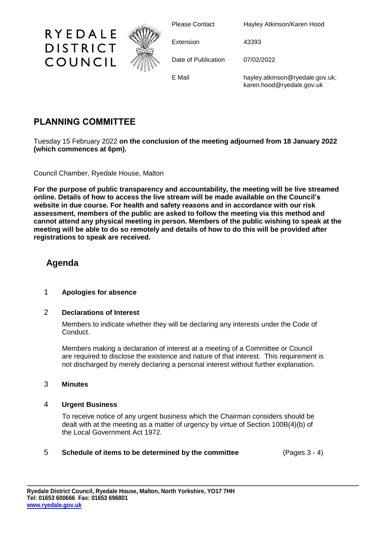

Please Contact Hayley Atkinson/Karen Hood

Extension 43393

Date of Publication 07/02/2022

E Mail hayley.atkinson@ryedale.gov.uk; karen.hood@ryedale.gov.uk

# **PLANNING COMMITTEE**

RYEDALE

**DISTRICT** 

COUNCIL

Tuesday 15 February 2022 **on the conclusion of the meeting adjourned from 18 January 2022 (which commences at 6pm).**

Council Chamber, Ryedale House, Malton

**For the purpose of public transparency and accountability, the meeting will be live streamed online. Details of how to access the live stream will be made available on the Council's website in due course. For health and safety reasons and in accordance with our risk assessment, members of the public are asked to follow the meeting via this method and cannot attend any physical meeting in person. Members of the public wishing to speak at the meeting will be able to do so remotely and details of how to do this will be provided after registrations to speak are received.**

## **Agenda**

### 1 **Apologies for absence**

### 2 **Declarations of Interest**

Members to indicate whether they will be declaring any interests under the Code of Conduct.

Members making a declaration of interest at a meeting of a Committee or Council are required to disclose the existence and nature of that interest. This requirement is not discharged by merely declaring a personal interest without further explanation.

### 3 **Minutes**

### 4 **Urgent Business**

To receive notice of any urgent business which the Chairman considers should be dealt with at the meeting as a matter of urgency by virtue of Section 100B(4)(b) of the Local Government Act 1972.

### 5 **Schedule of items to be determined by the committee** (Pages 3 - 4)